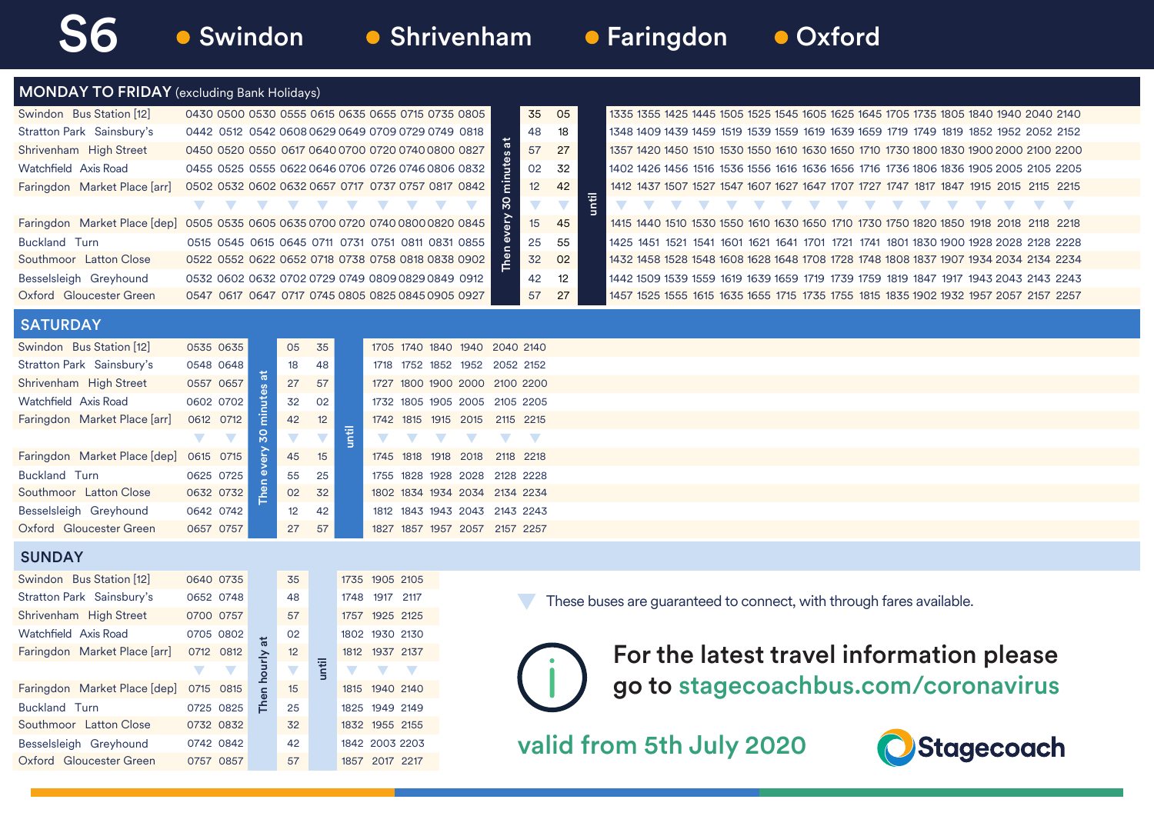0715 0815 15 1815 1940 2140 0725 0825 <del>1</del> 25 1825 1949 2149 0732 0832 32 1832 1955 2155 0742 0842 42 1842 2003 2203 0757 0857 57 1857 2017 2217

Southmoor Latton Close Besselsleigh Greyhound Oxford Gloucester Green

## **• Swindon • Shrivenham • Faringdon • Oxford**

| <b>MONDAY TO FRIDAY</b> (excluding Bank Holidays) |                                                   |               |                      |       |                          |                                                      |  |                                    |                          |       |                                                                                      |  |
|---------------------------------------------------|---------------------------------------------------|---------------|----------------------|-------|--------------------------|------------------------------------------------------|--|------------------------------------|--------------------------|-------|--------------------------------------------------------------------------------------|--|
| Swindon Bus Station [12]                          |                                                   |               |                      |       |                          | 0430 0500 0530 0555 0615 0635 0655 0715 0735 0805    |  | 35                                 | 05                       |       | 1335 1355 1425 1445 1505 1525 1545 1605 1625 1645 1705 1735 1805 1840 1940 2040 2140 |  |
| Stratton Park Sainsbury's                         |                                                   |               |                      |       |                          | 0442 0512 0542 0608 0629 0649 0709 0729 0749 0818    |  | 48                                 | 18                       |       | 1348 1409 1439 1459 1519 1539 1559 1619 1639 1659 1719 1749 1819 1852 1952 2052 2152 |  |
| Shrivenham High Street                            |                                                   |               |                      |       |                          | 0450 0520 0550 0617 0640 0700 0720 0740 0800 0827    |  | ã<br>57                            | 27                       |       | 1357 1420 1450 1510 1530 1550 1610 1630 1650 1710 1730 1800 1830 1900 2000 2100 2200 |  |
| Watchfield Axis Road                              |                                                   |               |                      |       |                          | 0455 0525 0555 0622 0646 0706 0726 0746 0806 0832    |  | minutes<br>02                      | 32                       |       | 1402 1426 1456 1516 1536 1556 1616 1636 1656 1716 1736 1806 1836 1905 2005 2105 2205 |  |
| Faringdon Market Place [arr]                      |                                                   |               |                      |       |                          | 0502 0532 0602 0632 0657 0717 0737 0757 0817 0842    |  | 12                                 | 42                       |       | 1412 1437 1507 1527 1547 1607 1627 1647 1707 1727 1747 1817 1847 1915 2015 2115 2215 |  |
|                                                   | $\mathbf{V}$                                      | v             | V                    | v     | v                        | V                                                    |  | $\overline{\mathbf{S}}$            | $\overline{\phantom{a}}$ | until | $\overline{\phantom{a}}$<br>$\mathcal{N}$                                            |  |
| Faringdon Market Place [dep]                      | 0505 0535 0605 0635 0700 0720 0740 0800 0820 0845 |               |                      |       |                          |                                                      |  | ęΣ<br>15                           | 45                       |       | 1415 1440 1510 1530 1550 1610 1630 1650 1710 1730 1750 1820 1850 1918 2018 2118 2218 |  |
| Buckland Turn                                     |                                                   |               |                      |       |                          | 0515 0545 0615 0645 0711 0731 0751 0811 0831 0855    |  | 25                                 | 55                       |       | 1425 1451 1521 1541 1601 1621 1641 1701 1721 1741 1801 1830 1900 1928 2028 2128 2228 |  |
| Southmoor Latton Close                            |                                                   |               |                      |       |                          | 0522 0552 0622 0652 0718 0738 0758 0818 0838 0902    |  | 32                                 | 02                       |       | 1432 1458 1528 1548 1608 1628 1648 1708 1728 1748 1808 1837 1907 1934 2034 2134 2234 |  |
| Besselsleigh Greyhound                            |                                                   |               |                      |       |                          | 0532 0602 0632 0702 0729 0749 0809 0829 0849 0912    |  | 42                                 | 12                       |       | 1442 1509 1539 1559 1619 1639 1659 1719 1739 1759 1819 1847 1917 1943 2043 2143 2243 |  |
| Oxford Gloucester Green                           |                                                   |               |                      |       |                          | 0547 0617 0647 0717 0745 0805 0825 0845 0905 0927    |  | 57                                 | 27                       |       | 1457 1525 1555 1615 1635 1655 1715 1735 1755 1815 1835 1902 1932 1957 2057 2157 2257 |  |
| <b>SATURDAY</b>                                   |                                                   |               |                      |       |                          |                                                      |  |                                    |                          |       |                                                                                      |  |
| Swindon Bus Station [12]                          | 0535 0635                                         |               | 05                   | 35    |                          |                                                      |  | 1705 1740 1840 1940 2040 2140      |                          |       |                                                                                      |  |
| Stratton Park Sainsbury's                         | 0548 0648                                         |               | 18                   | 48    |                          |                                                      |  | 1718 1752 1852 1952 2052 2152      |                          |       |                                                                                      |  |
| Shrivenham High Street                            | 0557 0657                                         |               | 27                   | 57    |                          |                                                      |  | 1727 1800 1900 2000 2100 2200      |                          |       |                                                                                      |  |
| Watchfield Axis Road                              | 0602 0702                                         | minutes       | 32                   | 02    |                          |                                                      |  | 1732 1805 1905 2005 2105 2205      |                          |       |                                                                                      |  |
| Faringdon Market Place [arr]                      | 0612 0712                                         |               | 42                   | 12    |                          |                                                      |  | 1742 1815 1915 2015 2115 2215      |                          |       |                                                                                      |  |
|                                                   | $\blacktriangledown$<br>$\overline{\phantom{a}}$  | $\frac{8}{3}$ |                      | v.    | until                    |                                                      |  | $\overline{\phantom{0}}$<br>$\sum$ |                          |       |                                                                                      |  |
| Faringdon Market Place [dep]                      | 0615 0715                                         |               | 45                   | 15    |                          |                                                      |  | 1745 1818 1918 2018 2118 2218      |                          |       |                                                                                      |  |
| Buckland Turn                                     | 0625 0725                                         |               | 55                   | 25    |                          |                                                      |  | 1755 1828 1928 2028 2128 2228      |                          |       |                                                                                      |  |
| Southmoor Latton Close                            | 0632 0732                                         | Then          | 02                   | 32    |                          |                                                      |  | 1802 1834 1934 2034 2134 2234      |                          |       |                                                                                      |  |
| Besselsleigh Greyhound                            | 0642 0742                                         |               | 12                   | 42    |                          |                                                      |  | 1812 1843 1943 2043 2143 2243      |                          |       |                                                                                      |  |
| Oxford Gloucester Green                           | 0657 0757                                         |               | 27                   | 57    |                          |                                                      |  | 1827 1857 1957 2057 2157 2257      |                          |       |                                                                                      |  |
| <b>SUNDAY</b>                                     |                                                   |               |                      |       |                          |                                                      |  |                                    |                          |       |                                                                                      |  |
| Swindon Bus Station [12]                          | 0640 0735                                         |               | 35                   |       |                          | 1735 1905 2105                                       |  |                                    |                          |       |                                                                                      |  |
| Stratton Park Sainsbury's                         | 0652 0748                                         |               | 48                   |       |                          | 1748 1917 2117                                       |  |                                    |                          |       | These buses are guaranteed to connect, with through fares available.                 |  |
| Shrivenham High Street                            | 0700 0757                                         |               | 57                   |       |                          | 1757 1925 2125                                       |  |                                    |                          |       |                                                                                      |  |
| Watchfield Axis Road                              | 0705 0802                                         |               | 02                   |       |                          | 1802 1930 2130                                       |  |                                    |                          |       |                                                                                      |  |
| Faringdon Market Place [arr]                      | 0712 0812                                         | a             | 12                   |       |                          | 1812 1937 2137                                       |  |                                    |                          |       | For the latest travel information please                                             |  |
|                                                   | $\blacktriangledown$<br>$\overline{\phantom{a}}$  | hourly        | $\blacktriangledown$ | until | $\overline{\phantom{a}}$ | $\overline{\phantom{a}}$<br>$\overline{\mathcal{L}}$ |  |                                    |                          |       |                                                                                      |  |
| Faringdon Market Place [dep]                      | 0715 0815                                         | $\epsilon$    | 15                   |       |                          | 1815 1940 2140                                       |  |                                    |                          |       | go to stagecoachbus.com/coronavirus                                                  |  |
| Buckland Turn                                     | 0725 0825                                         | Ě             | 25                   |       |                          | 1825 1949 2149                                       |  |                                    |                          |       |                                                                                      |  |

valid from 5th July 2020